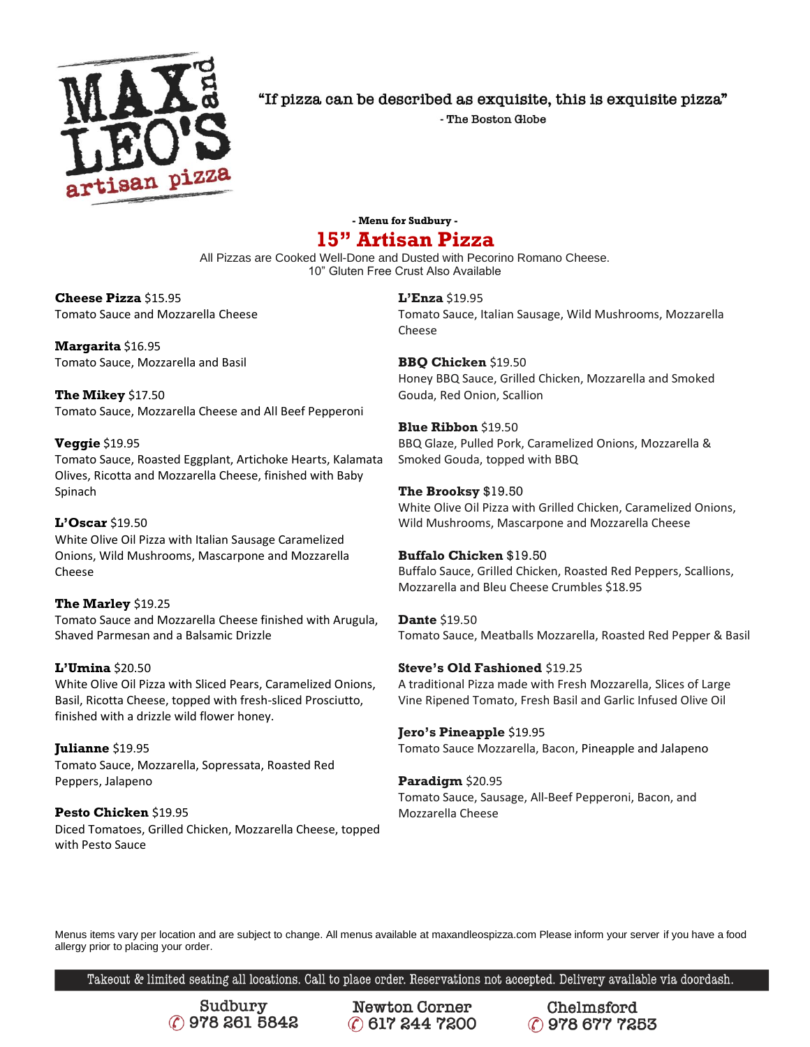

"If pizza can be described as exquisite, this is exquisite pizza"

- The Boston Globe

## **- Menu for Sudbury - 15" Artisan Pizza**

All Pizzas are Cooked Well-Done and Dusted with Pecorino Romano Cheese. 10" Gluten Free Crust Also Available

### **Cheese Pizza** \$15.95 Tomato Sauce and Mozzarella Cheese

**Margarita** \$16.95 Tomato Sauce, Mozzarella and Basil

**The Mikey** \$17.50 Tomato Sauce, Mozzarella Cheese and All Beef Pepperoni

### **Veggie** \$19.95

Tomato Sauce, Roasted Eggplant, Artichoke Hearts, Kalamata Olives, Ricotta and Mozzarella Cheese, finished with Baby Spinach

### **L'Oscar** \$19.50

White Olive Oil Pizza with Italian Sausage Caramelized Onions, Wild Mushrooms, Mascarpone and Mozzarella Cheese

### **The Marley** \$19.25

Tomato Sauce and Mozzarella Cheese finished with Arugula, Shaved Parmesan and a Balsamic Drizzle

### **L'Umina** \$20.50

White Olive Oil Pizza with Sliced Pears, Caramelized Onions, Basil, Ricotta Cheese, topped with fresh-sliced Prosciutto, finished with a drizzle wild flower honey.

**Julianne** \$19.95 Tomato Sauce, Mozzarella, Sopressata, Roasted Red Peppers, Jalapeno

**Pesto Chicken** \$19.95 Diced Tomatoes, Grilled Chicken, Mozzarella Cheese, topped with Pesto Sauce

**L'Enza** \$19.95 Tomato Sauce, Italian Sausage, Wild Mushrooms, Mozzarella Cheese

**BBQ Chicken** \$19.50 Honey BBQ Sauce, Grilled Chicken, Mozzarella and Smoked Gouda, Red Onion, Scallion

**Blue Ribbon** \$19.50 BBQ Glaze, Pulled Pork, Caramelized Onions, Mozzarella & Smoked Gouda, topped with BBQ

**The Brooksy** \$19.50 White Olive Oil Pizza with Grilled Chicken, Caramelized Onions, Wild Mushrooms, Mascarpone and Mozzarella Cheese

### **Buffalo Chicken** \$19.50

Buffalo Sauce, Grilled Chicken, Roasted Red Peppers, Scallions, Mozzarella and Bleu Cheese Crumbles \$18.95

**Dante** \$19.50 Tomato Sauce, Meatballs Mozzarella, Roasted Red Pepper & Basil

### **Steve's Old Fashioned** \$19.25

A traditional Pizza made with Fresh Mozzarella, Slices of Large Vine Ripened Tomato, Fresh Basil and Garlic Infused Olive Oil

### **Jero's Pineapple** \$19.95

Tomato Sauce Mozzarella, Bacon, Pineapple and Jalapeno

### **Paradigm** \$20.95

Tomato Sauce, Sausage, All-Beef Pepperoni, Bacon, and Mozzarella Cheese

Menus items vary per location and are subject to change. All menus available at maxandleospizza.com Please inform your server if you have a food allergy prior to placing your order.

Takeout & limited seating all locations. Call to place order. Reservations not accepted. Delivery available via doordash.

Sudbury C 978 261 5842

**Newton Corner** C 617 244 7200

Chelmsford C 978 677 7253